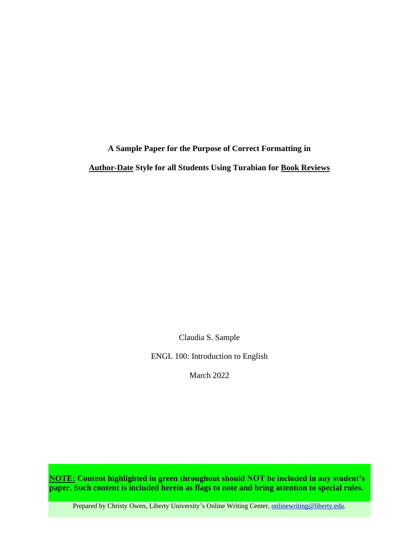**A Sample Paper for the Purpose of Correct Formatting in Author-Date Style for all Students Using Turabian for Book Reviews**

Claudia S. Sample

ENGL 100: Introduction to English

March 2022

**NOTE: Content highlighted in green throughout should NOT be included in any student's paper. Such content is included herein as flags to note and bring attention to special rules.**

Prepared by Christy Owen, Liberty University's Online Writing Center, [onlinewriting@liberty.edu.](mailto:onlinewriting@liberty.edu)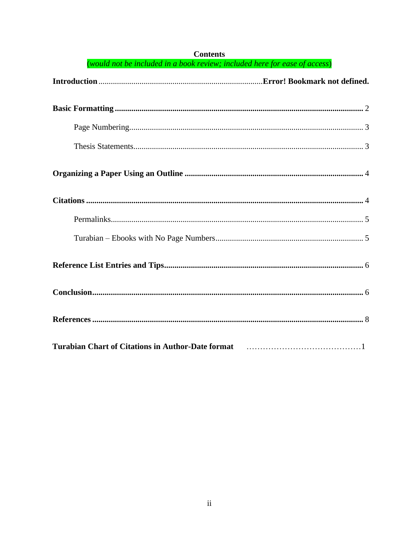| (would not be included in a book review; included here for ease of access)                                                   |  |  |
|------------------------------------------------------------------------------------------------------------------------------|--|--|
|                                                                                                                              |  |  |
|                                                                                                                              |  |  |
|                                                                                                                              |  |  |
|                                                                                                                              |  |  |
|                                                                                                                              |  |  |
|                                                                                                                              |  |  |
|                                                                                                                              |  |  |
|                                                                                                                              |  |  |
|                                                                                                                              |  |  |
|                                                                                                                              |  |  |
|                                                                                                                              |  |  |
| Turabian Chart of Citations in Author-Date format [10] [10] [10] [10] [10] Turabian Chart of Citations in Author-Date format |  |  |

## **Contents**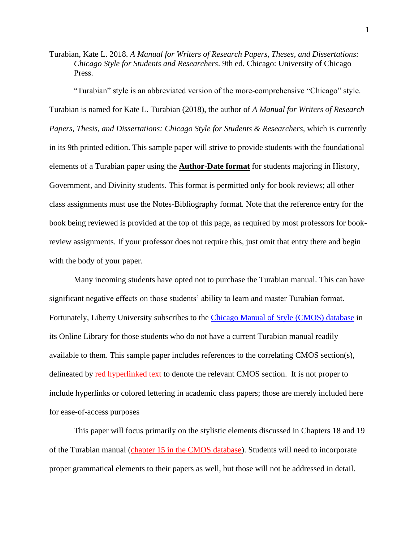Turabian, Kate L. 2018. *A Manual for Writers of Research Papers, Theses, and Dissertations: Chicago Style for Students and Researchers*. 9th ed. Chicago: University of Chicago Press.

"Turabian" style is an abbreviated version of the more-comprehensive "Chicago" style. Turabian is named for Kate L. Turabian (2018), the author of *A Manual for Writers of Research Papers, Thesis, and Dissertations: Chicago Style for Students & Researchers*, which is currently in its 9th printed edition. This sample paper will strive to provide students with the foundational elements of a Turabian paper using the **Author-Date format** for students majoring in History, Government, and Divinity students. This format is permitted only for book reviews; all other class assignments must use the Notes-Bibliography format. Note that the reference entry for the book being reviewed is provided at the top of this page, as required by most professors for bookreview assignments. If your professor does not require this, just omit that entry there and begin with the body of your paper.

Many incoming students have opted not to purchase the Turabian manual. This can have significant negative effects on those students' ability to learn and master Turabian format. Fortunately, Liberty University subscribes to the [Chicago Manual of Style \(CMOS\) database](https://www-chicagomanualofstyle-org.ezproxy.liberty.edu/home.html) in its Online Library for those students who do not have a current Turabian manual readily available to them. This sample paper includes references to the correlating CMOS section(s), delineated by red hyperlinked text to denote the relevant CMOS section. It is not proper to include hyperlinks or colored lettering in academic class papers; those are merely included here for ease-of-access purposes

This paper will focus primarily on the stylistic elements discussed in Chapters 18 and 19 of the Turabian manual [\(chapter 15 in the CMOS database\)](https://www-chicagomanualofstyle-org.ezproxy.liberty.edu/book/ed17/part3/ch15/toc.html). Students will need to incorporate proper grammatical elements to their papers as well, but those will not be addressed in detail.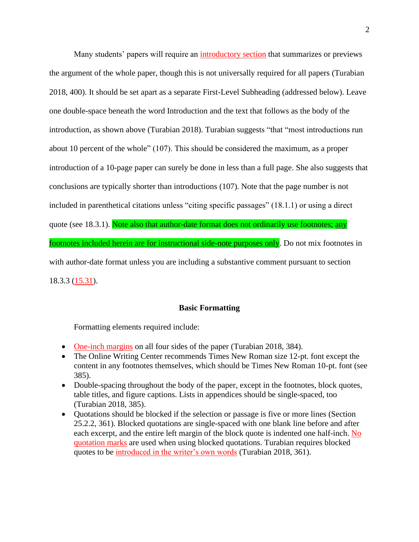Many students' papers will require an [introductory section](https://www-chicagomanualofstyle-org.ezproxy.liberty.edu/book/ed17/part1/ch01/psec047.html) that summarizes or previews the argument of the whole paper, though this is not universally required for all papers (Turabian 2018, 400). It should be set apart as a separate First-Level Subheading (addressed below). Leave one double-space beneath the word Introduction and the text that follows as the body of the introduction, as shown above (Turabian 2018). Turabian suggests "that "most introductions run about 10 percent of the whole" (107). This should be considered the maximum, as a proper introduction of a 10-page paper can surely be done in less than a full page. She also suggests that conclusions are typically shorter than introductions (107). Note that the page number is not included in parenthetical citations unless "citing specific passages" (18.1.1) or using a direct quote (see 18.3.1). Note also that author-date format does not ordinarily use footnotes; any footnotes included herein are for instructional side-note purposes only. Do not mix footnotes in with author-date format unless you are including a substantive comment pursuant to section 18.3.3 [\(15.31\)](https://www-chicagomanualofstyle-org.ezproxy.liberty.edu/book/ed17/part3/ch15/psec031.html).

## **Basic Formatting**

<span id="page-3-0"></span>Formatting elements required include:

- [One-inch margins](https://www-chicagomanualofstyle-org.ezproxy.liberty.edu/book/ed17/part1/ch02/psec010.html) on all four sides of the paper (Turabian 2018, 384).
- The Online Writing Center recommends Times New Roman size 12-pt. font except the content in any footnotes themselves, which should be Times New Roman 10-pt. font (see 385).
- Double-spacing throughout the body of the paper, except in the footnotes, block quotes, table titles, and figure captions. Lists in appendices should be single-spaced, too (Turabian 2018, 385).
- Quotations should be blocked if the selection or passage is five or more lines (Section 25.2.2, 361). Blocked quotations are single-spaced with one blank line before and after each excerpt, and the entire left margin of the block quote is indented one half-inch. [No](https://www-chicagomanualofstyle-org.ezproxy.liberty.edu/book/ed17/part2/ch13/psec009.html)  [quotation marks](https://www-chicagomanualofstyle-org.ezproxy.liberty.edu/book/ed17/part2/ch13/psec009.html) are used when using blocked quotations. Turabian requires blocked quotes to be [introduced in the writer's own words](https://www-chicagomanualofstyle-org.ezproxy.liberty.edu/book/ed17/part2/ch13/psec023.html) (Turabian 2018, 361).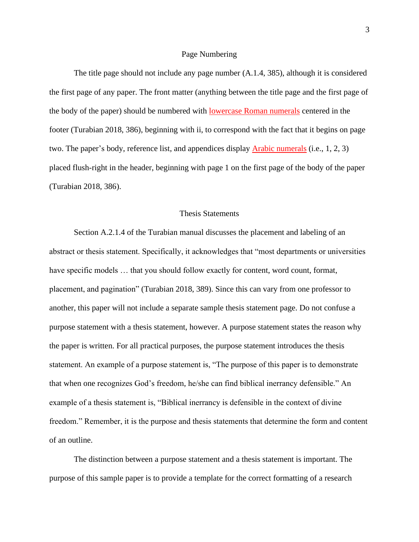#### Page Numbering

<span id="page-4-0"></span>The title page should not include any page number (A.1.4, 385), although it is considered the first page of any paper. The front matter (anything between the title page and the first page of the body of the paper) should be numbered with [lowercase Roman numerals](https://www-chicagomanualofstyle-org.ezproxy.liberty.edu/book/ed17/part1/ch01/psec007.html) centered in the footer (Turabian 2018, 386), beginning with ii, to correspond with the fact that it begins on page two. The paper's body, reference list, and appendices display [Arabic numerals](https://www-chicagomanualofstyle-org.ezproxy.liberty.edu/book/ed17/part1/ch01/psec008.html) (i.e., 1, 2, 3) placed flush-right in the header, beginning with page 1 on the first page of the body of the paper (Turabian 2018, 386).

## Thesis Statements

<span id="page-4-1"></span>Section A.2.1.4 of the Turabian manual discusses the placement and labeling of an abstract or thesis statement. Specifically, it acknowledges that "most departments or universities have specific models … that you should follow exactly for content, word count, format, placement, and pagination" (Turabian 2018, 389). Since this can vary from one professor to another, this paper will not include a separate sample thesis statement page. Do not confuse a purpose statement with a thesis statement, however. A purpose statement states the reason why the paper is written. For all practical purposes, the purpose statement introduces the thesis statement. An example of a purpose statement is, "The purpose of this paper is to demonstrate that when one recognizes God's freedom, he/she can find biblical inerrancy defensible." An example of a thesis statement is, "Biblical inerrancy is defensible in the context of divine freedom." Remember, it is the purpose and thesis statements that determine the form and content of an outline.

The distinction between a purpose statement and a thesis statement is important. The purpose of this sample paper is to provide a template for the correct formatting of a research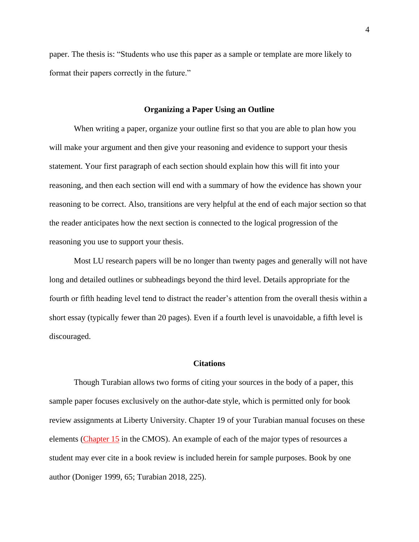paper. The thesis is: "Students who use this paper as a sample or template are more likely to format their papers correctly in the future."

#### **Organizing a Paper Using an Outline**

<span id="page-5-0"></span>When writing a paper, organize your outline first so that you are able to plan how you will make your argument and then give your reasoning and evidence to support your thesis statement. Your first paragraph of each section should explain how this will fit into your reasoning, and then each section will end with a summary of how the evidence has shown your reasoning to be correct. Also, transitions are very helpful at the end of each major section so that the reader anticipates how the next section is connected to the logical progression of the reasoning you use to support your thesis.

Most LU research papers will be no longer than twenty pages and generally will not have long and detailed outlines or subheadings beyond the third level. Details appropriate for the fourth or fifth heading level tend to distract the reader's attention from the overall thesis within a short essay (typically fewer than 20 pages). Even if a fourth level is unavoidable, a fifth level is discouraged.

#### **Citations**

<span id="page-5-1"></span>Though Turabian allows two forms of citing your sources in the body of a paper, this sample paper focuses exclusively on the author-date style, which is permitted only for book review assignments at Liberty University. Chapter 19 of your Turabian manual focuses on these elements [\(Chapter 15](https://www-chicagomanualofstyle-org.ezproxy.liberty.edu/book/ed17/part3/ch15/toc.html) in the CMOS). An example of each of the major types of resources a student may ever cite in a book review is included herein for sample purposes. Book by one author (Doniger 1999, 65; Turabian 2018, 225).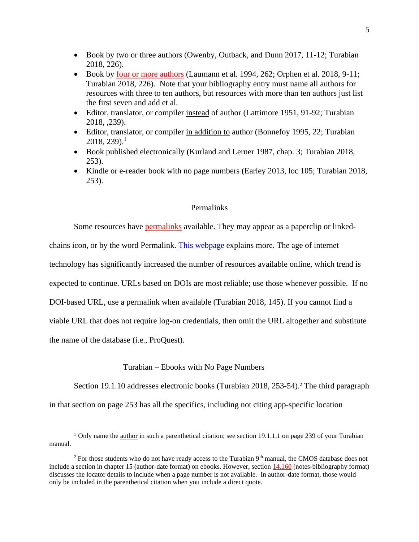- Book by two or three authors (Owenby, Outback, and Dunn 2017, 11-12; Turabian 2018, 226).
- Book by <u>four or more authors</u> (Laumann et al. 1994, 262; Orphen et al. 2018, 9-11; Turabian 2018, 226). Note that your bibliography entry must name all authors for resources with three to ten authors, but resources with more than ten authors just list the first seven and add et al.
- Editor, translator, or compiler instead of author (Lattimore 1951, 91-92; Turabian 2018, ,239).
- Editor, translator, or compiler in addition to author (Bonnefoy 1995, 22; Turabian  $2018, 239.1$
- Book published electronically (Kurland and Lerner 1987, chap. 3; Turabian 2018, 253).
- Kindle or e-reader book with no page numbers (Earley 2013, loc 105; Turabian 2018, 253).

## Permalinks

<span id="page-6-0"></span>Some resources have [permalinks](https://www-chicagomanualofstyle-org.ezproxy.liberty.edu/book/ed17/part3/ch14/psec009.html) available. They may appear as a paperclip or linkedchains icon, or by the word Permalink. [This webpage](https://techterms.com/definition/permalink) explains more. The age of internet technology has significantly increased the number of resources available online, which trend is expected to continue. URLs based on DOIs are most reliable; use those whenever possible. If no DOI-based URL, use a permalink when available (Turabian 2018, 145). If you cannot find a viable URL that does not require log-on credentials, then omit the URL altogether and substitute the name of the database (i.e., ProQuest).

Turabian – Ebooks with No Page Numbers

<span id="page-6-1"></span>Section 19.1.10 addresses electronic books (Turabian 2018, 253-54). <sup>2</sup> The third paragraph in that section on page 253 has all the specifics, including not citing app-specific location

<sup>&</sup>lt;sup>1</sup> Only name the <u>author</u> in such a parenthetical citation; see section 19.1.1.1 on page 239 of your Turabian manual.

<sup>&</sup>lt;sup>2</sup> For those students who do not have ready access to the Turabian  $9<sup>th</sup>$  manual, the CMOS database does not include a section in chapter 15 (author-date format) on ebooks. However, sectio[n 14.160](https://www-chicagomanualofstyle-org.ezproxy.liberty.edu/book/ed17/part3/ch14/psec160.html) (notes-bibliography format) discusses the locator details to include when a page number is not available. In author-date format, those would only be included in the parenthetical citation when you include a direct quote.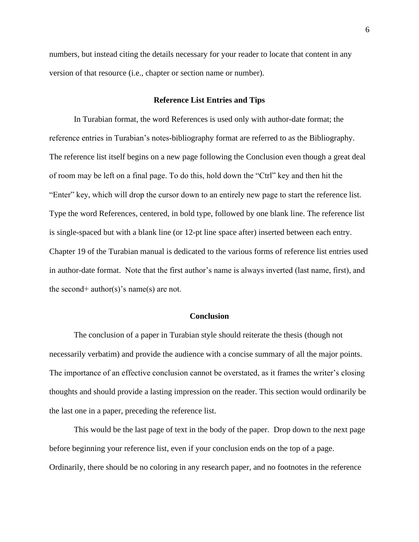numbers, but instead citing the details necessary for your reader to locate that content in any version of that resource (i.e., chapter or section name or number).

## **Reference List Entries and Tips**

<span id="page-7-0"></span>In Turabian format, the word References is used only with author-date format; the reference entries in Turabian's notes-bibliography format are referred to as the Bibliography. The reference list itself begins on a new page following the Conclusion even though a great deal of room may be left on a final page. To do this, hold down the "Ctrl" key and then hit the "Enter" key, which will drop the cursor down to an entirely new page to start the reference list. Type the word References, centered, in bold type, followed by one blank line. The reference list is single-spaced but with a blank line (or 12-pt line space after) inserted between each entry. Chapter 19 of the Turabian manual is dedicated to the various forms of reference list entries used in author-date format. Note that the first author's name is always inverted (last name, first), and the second+ author(s)'s name(s) are not.

## **Conclusion**

<span id="page-7-1"></span>The conclusion of a paper in Turabian style should reiterate the thesis (though not necessarily verbatim) and provide the audience with a concise summary of all the major points. The importance of an effective conclusion cannot be overstated, as it frames the writer's closing thoughts and should provide a lasting impression on the reader. This section would ordinarily be the last one in a paper, preceding the reference list.

This would be the last page of text in the body of the paper. Drop down to the next page before beginning your reference list, even if your conclusion ends on the top of a page. Ordinarily, there should be no coloring in any research paper, and no footnotes in the reference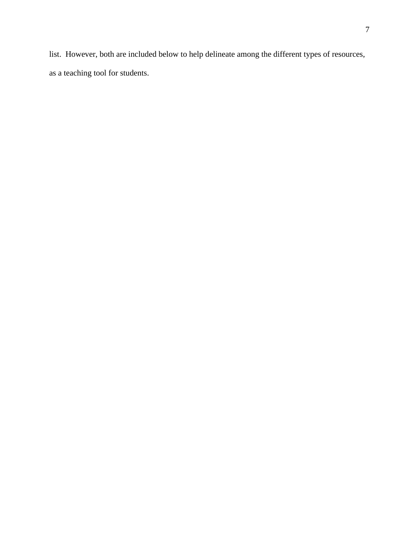list. However, both are included below to help delineate among the different types of resources, as a teaching tool for students.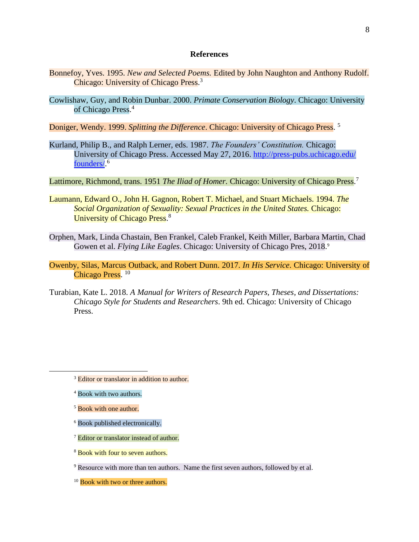### **References**

- <span id="page-9-0"></span>Bonnefoy, Yves. 1995. *New and Selected Poems.* Edited by John Naughton and Anthony Rudolf. Chicago: University of Chicago Press.<sup>3</sup>
- Cowlishaw, Guy, and Robin Dunbar. 2000. *Primate Conservation Biology*. Chicago: University of Chicago Press. 4

Doniger, Wendy. 1999. *Splitting the Difference*. Chicago: University of Chicago Press. 5

Kurland, Philip B., and Ralph Lerner, eds. 1987. *The Founders' Constitution.* Chicago: University of Chicago Press. Accessed May 27, 2016. [http://press-pubs.uchicago.edu/](http://press-pubs.uchicago.edu/founders/) [founders/.](http://press-pubs.uchicago.edu/founders/) 6

Lattimore, Richmond, trans. 1951 The Iliad of Homer. Chicago: University of Chicago Press.<sup>7</sup>

- Laumann, Edward O., John H. Gagnon, Robert T. Michael, and Stuart Michaels. 1994. *The Social Organization of Sexuality: Sexual Practices in the United States.* Chicago: University of Chicago Press.<sup>8</sup>
- Orphen, Mark, Linda Chastain, Ben Frankel, Caleb Frankel, Keith Miller, Barbara Martin, Chad Gowen et al. *Flying Like Eagles*. Chicago: University of Chicago Pres, 2018. 9
- Owenby, Silas, Marcus Outback, and Robert Dunn. 2017. *In His Service*. Chicago: University of Chicago Press.<sup>10</sup>
- Turabian, Kate L. 2018. *A Manual for Writers of Research Papers, Theses, and Dissertations: Chicago Style for Students and Researchers*. 9th ed. Chicago: University of Chicago Press.

- <sup>5</sup> Book with one author.
- <sup>6</sup> Book published electronically.
- <sup>7</sup> Editor or translator instead of author.
- <sup>8</sup> Book with four to seven authors.
- <sup>9</sup> Resource with more than ten authors. Name the first seven authors, followed by et al.

<sup>10</sup> Book with two or three authors.

<sup>&</sup>lt;sup>3</sup> Editor or translator in addition to author.

<sup>&</sup>lt;sup>4</sup> Book with two authors.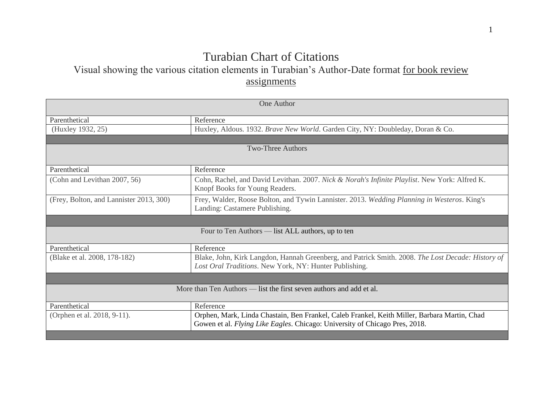# Turabian Chart of Citations

Visual showing the various citation elements in Turabian's Author-Date format for book review assignments

<span id="page-10-0"></span>

| One Author                                                          |                                                                                                                                                                             |  |
|---------------------------------------------------------------------|-----------------------------------------------------------------------------------------------------------------------------------------------------------------------------|--|
| Parenthetical                                                       | Reference                                                                                                                                                                   |  |
| (Huxley 1932, 25)                                                   | Huxley, Aldous. 1932. Brave New World. Garden City, NY: Doubleday, Doran & Co.                                                                                              |  |
|                                                                     |                                                                                                                                                                             |  |
| <b>Two-Three Authors</b>                                            |                                                                                                                                                                             |  |
| Parenthetical                                                       | Reference                                                                                                                                                                   |  |
| (Cohn and Levithan 2007, 56)                                        | Cohn, Rachel, and David Levithan. 2007. Nick & Norah's Infinite Playlist. New York: Alfred K.<br>Knopf Books for Young Readers.                                             |  |
| (Frey, Bolton, and Lannister 2013, 300)                             | Frey, Walder, Roose Bolton, and Tywin Lannister. 2013. Wedding Planning in Westeros. King's<br>Landing: Castamere Publishing.                                               |  |
|                                                                     |                                                                                                                                                                             |  |
| Four to Ten Authors — list ALL authors, up to ten                   |                                                                                                                                                                             |  |
| Parenthetical                                                       | Reference                                                                                                                                                                   |  |
| (Blake et al. 2008, 178-182)                                        | Blake, John, Kirk Langdon, Hannah Greenberg, and Patrick Smith. 2008. The Lost Decade: History of<br>Lost Oral Traditions. New York, NY: Hunter Publishing.                 |  |
|                                                                     |                                                                                                                                                                             |  |
| More than Ten Authors — list the first seven authors and add et al. |                                                                                                                                                                             |  |
| Parenthetical                                                       | Reference                                                                                                                                                                   |  |
| (Orphen et al. 2018, 9-11).                                         | Orphen, Mark, Linda Chastain, Ben Frankel, Caleb Frankel, Keith Miller, Barbara Martin, Chad<br>Gowen et al. Flying Like Eagles. Chicago: University of Chicago Pres, 2018. |  |
|                                                                     |                                                                                                                                                                             |  |